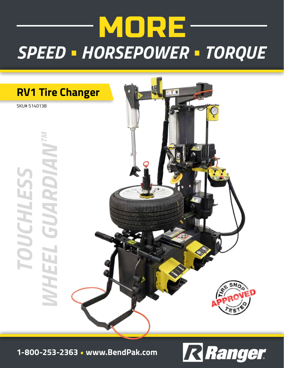# MORE-*SPEED • HORSEPOWER • TORQUE*



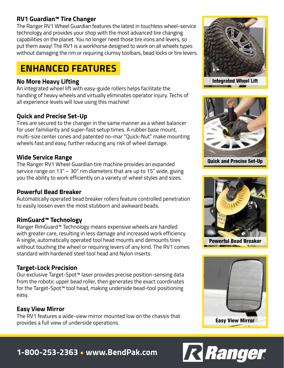### **RV1 Guardian™ Tire Changer**

The Ranger RV1 Wheel Guardian features the latest in touchless wheel-service technology and provides your shop with the most advanced tire changing capabilities on the planet. You no longer need those tire irons and levers, so put them away! The RV1 is a workhorse designed to work on all wheels types without damaging the rim or requiring clumsy toolbars, bead locks or tire levers.

# **ENHANCED FEATURES**

#### **No More Heavy Lifting**

An integrated wheel lift with easy-guide rollers helps facilitate the handling of heavy wheels and virtually eliminates operator injury. Techs of all experience levels will love using this machine!

### **Quick and Precise Set-Up**

Tires are secured to the changer in the same manner as a wheel balancer for user familiarity and super-fast setup times. A rubber base mount, multi-size center cones and patented no-mar "Quick-Nut" make mounting wheels fast and easy, further reducing any risk of wheel damage.

#### **Wide Service Range**

The Ranger RV1 Wheel Guardian tire machine provides an expanded service range on 13" – 30" rim diameters that are up to 15" wide, giving you the ability to work efficiently on a variety of wheel styles and sizes.

#### **Powerful Bead Breaker**

Automatically operated bead breaker rollers feature controlled penetration to easily loosen even the most stubborn and awkward beads.

### **RimGuard™ Technology**

Ranger RimGuard™ Technology means expensive wheels are handled with greater care, resulting in less damage and increased work efficiency. A single, automatically operated tool head mounts and demounts tires without touching the wheel or requiring levers of any kind. The RV1 comes standard with hardened steel tool head and Nylon inserts.

#### **Target-Lock Precision**

Our exclusive Target-Spot™ laser provides precise position-sensing data from the robotic upper bead roller, then generates the exact coordinates for the Target-Spot™ tool head, making underside bead-tool positioning easy.

### **Easy View Mirror**

The RV1 features a wide-view mirror mounted low on the chassis that provides a full view of underside operations.



Integrated Wheel Lift



Quick and Precise Set-Up



Powerful Bead Breaker





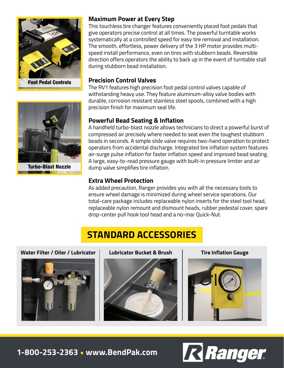

#### **Maximum Power at Every Step**

This touchless tire changer features conveniently placed foot pedals that give operators precise control at all times. The powerful turntable works systematically at a controlled speed for easy tire removal and installation. The smooth, effortless, power delivery of the 3 HP motor provides multispeed install performance, even on tires with stubborn beads. Reversible direction offers operators the ability to back up in the event of turntable stall during stubborn bead installation.

#### **Precision Control Valves**

The RV1 features high precision foot pedal control valves capable of withstanding heavy use. They feature aluminum-alloy valve bodies with durable, corrosion resistant stainless steel spools, combined with a high precision finish for maximum seal life.

### **Powerful Bead Seating & Inflation**

A handheld turbo-blast nozzle allows technicians to direct a powerful burst of compressed air precisely where needed to seat even the toughest stubborn beads in seconds. A simple slide valve requires two-hand operation to protect operators from accidental discharge. Integrated tire inflation system features air-surge pulse inflation for faster inflation speed and improved bead seating. A large, easy-to-read pressure gauge with built-in pressure limiter and air dump valve simplifies tire inflation.

#### **Extra Wheel Protection**

As added precaution, Ranger provides you with all the necessary tools to ensure wheel damage is minimized during wheel service operations. Our total-care package includes replaceable nylon inserts for the steel tool head, replaceable nylon remount and dismount heads, rubber pedestal cover, spare drop-center pull hook tool head and a no-mar Quick-Nut.

# **STANDARD ACCESSORIES**

**Water Filter / Oiler / Lubricator Lubricator Bucket & Brush Tire Inflation Gauge** 







**1-800-253-2363 • www.BendPak.com**





**THE CONSTRUCTION**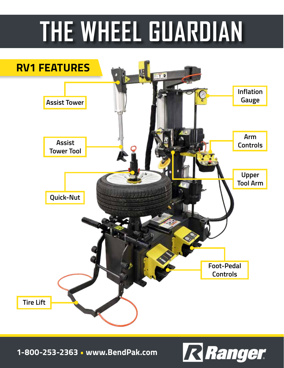# **THE WHEEL GUARDIAN**